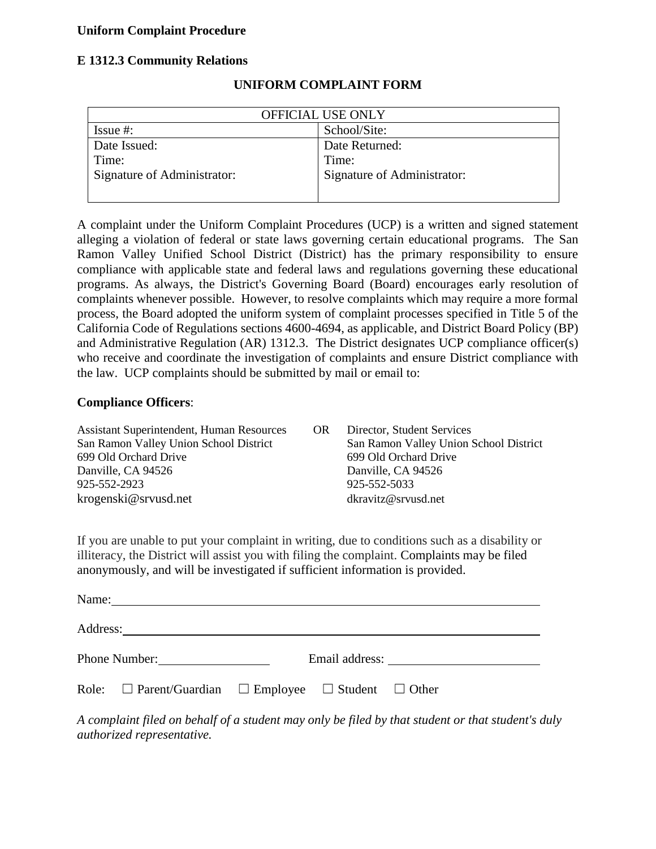## **Uniform Complaint Procedure**

## **E 1312.3 Community Relations**

| OFFICIAL USE ONLY           |                             |  |
|-----------------------------|-----------------------------|--|
| Issue $#$ :                 | School/Site:                |  |
| Date Issued:                | Date Returned:              |  |
| Time:                       | Time:                       |  |
| Signature of Administrator: | Signature of Administrator: |  |
|                             |                             |  |

## **UNIFORM COMPLAINT FORM**

A complaint under the Uniform Complaint Procedures (UCP) is a written and signed statement alleging a violation of federal or state laws governing certain educational programs. The San Ramon Valley Unified School District (District) has the primary responsibility to ensure compliance with applicable state and federal laws and regulations governing these educational programs. As always, the District's Governing Board (Board) encourages early resolution of complaints whenever possible. However, to resolve complaints which may require a more formal process, the Board adopted the uniform system of complaint processes specified in Title 5 of the California Code of Regulations sections 4600-4694, as applicable, and District Board Policy (BP) and Administrative Regulation (AR) 1312.3. The District designates UCP compliance officer(s) who receive and coordinate the investigation of complaints and ensure District compliance with the law. UCP complaints should be submitted by mail or email to:

#### **Compliance Officers**:

| <b>Assistant Superintendent, Human Resources</b> | OR | Director, Student Services             |
|--------------------------------------------------|----|----------------------------------------|
| San Ramon Valley Union School District           |    | San Ramon Valley Union School District |
| 699 Old Orchard Drive                            |    | 699 Old Orchard Drive                  |
| Danville, CA 94526                               |    | Danville, CA 94526                     |
| 925-552-2923                                     |    | 925-552-5033                           |
| krogenski@srvusd.net                             |    | dkravity@srvusd.net                    |

If you are unable to put your complaint in writing, due to conditions such as a disability or illiteracy, the District will assist you with filing the complaint. Complaints may be filed anonymously, and will be investigated if sufficient information is provided.

| Name: | <u> 1980 - Jan Sarajević, politički predsjednik i politički predsjednik i politički predsjednik i politički preds</u> |  |                |
|-------|-----------------------------------------------------------------------------------------------------------------------|--|----------------|
|       |                                                                                                                       |  |                |
|       | Phone Number:                                                                                                         |  | Email address: |
|       | Role: $\Box$ Parent/Guardian $\Box$ Employee $\Box$ Student $\Box$ Other                                              |  |                |

*A complaint filed on behalf of a student may only be filed by that student or that student's duly authorized representative.*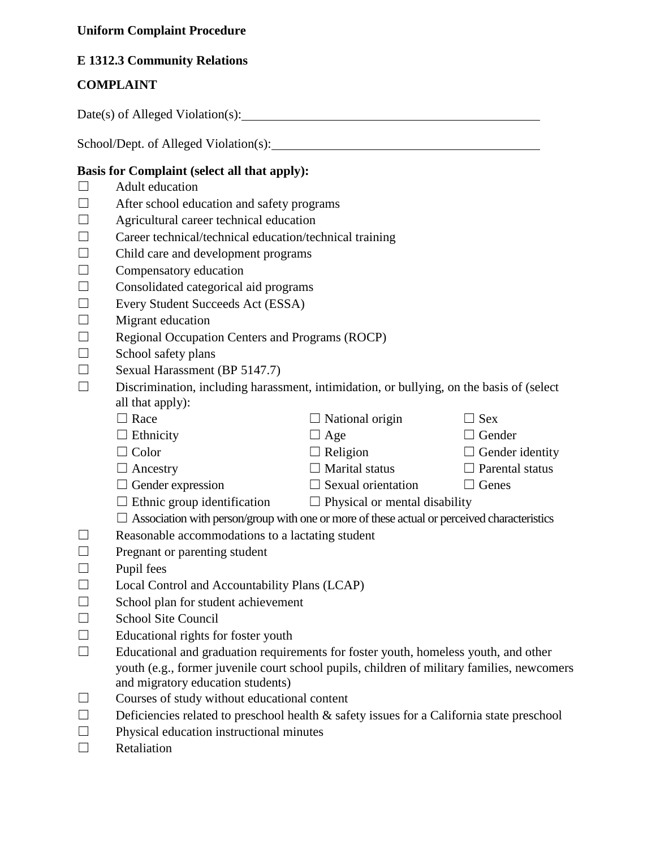# **Uniform Complaint Procedure**

# **E 1312.3 Community Relations**

# **COMPLAINT**

Date(s) of Alleged Violation(s):

School/Dept. of Alleged Violation(s):

## **Basis for Complaint (select all that apply):**

- $\Box$  Adult education
- $\Box$  After school education and safety programs
- $\Box$  Agricultural career technical education
- $\Box$  Career technical/technical education/technical training
- $\Box$  Child care and development programs
- $\Box$  Compensatory education
- $\Box$  Consolidated categorical aid programs
- ☐ Every Student Succeeds Act (ESSA)
- $\Box$  Migrant education
- ☐ Regional Occupation Centers and Programs (ROCP)
- $\Box$  School safety plans
- $\Box$  Sexual Harassment (BP 5147.7)

 $\Box$  Discrimination, including harassment, intimidation, or bullying, on the basis of (select all that apply):

| $\Box$ Race | $\Box$ National origin | $\Box$ Sex |
|-------------|------------------------|------------|

| $\Box$ Ethnicity | $\Box$ Age | $\Box$ Gender |
|------------------|------------|---------------|
|                  |            |               |

- ☐ Color ☐ Religion ☐ Gender identity
- ☐ Ancestry ☐ Marital status ☐ Parental status
- $\Box$  Gender expression  $\Box$  Sexual orientation  $\Box$  Genes
- 
- $\Box$  Ethnic group identification  $\Box$  Physical or mental disability
- $\Box$  Association with person/group with one or more of these actual or perceived characteristics
- $\Box$  Reasonable accommodations to a lactating student
- $\Box$  Pregnant or parenting student
- $\square$  Pupil fees
- $\Box$  Local Control and Accountability Plans (LCAP)
- $\Box$  School plan for student achievement
- □ School Site Council
- $\Box$  Educational rights for foster youth
- $\Box$  Educational and graduation requirements for foster youth, homeless youth, and other youth (e.g., former juvenile court school pupils, children of military families, newcomers and migratory education students)
- ☐ Courses of study without educational content
- $\Box$  Deficiencies related to preschool health  $\&$  safety issues for a California state preschool
- $\Box$  Physical education instructional minutes
- ☐ Retaliation